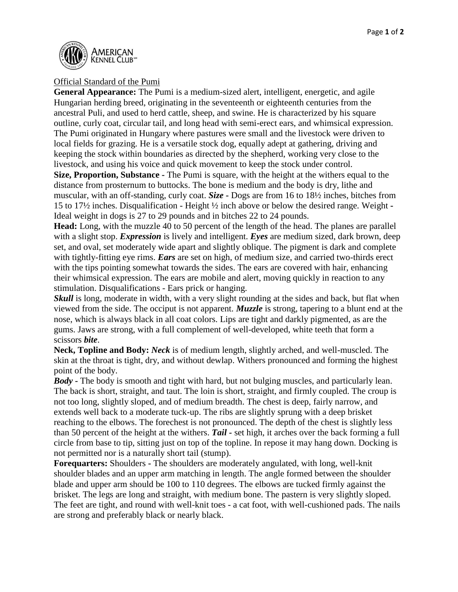

## Official Standard of the Pumi

**General Appearance:** The Pumi is a medium-sized alert, intelligent, energetic, and agile Hungarian herding breed, originating in the seventeenth or eighteenth centuries from the ancestral Puli, and used to herd cattle, sheep, and swine. He is characterized by his square outline, curly coat, circular tail, and long head with semi-erect ears, and whimsical expression. The Pumi originated in Hungary where pastures were small and the livestock were driven to local fields for grazing. He is a versatile stock dog, equally adept at gathering, driving and keeping the stock within boundaries as directed by the shepherd, working very close to the livestock, and using his voice and quick movement to keep the stock under control.

**Size, Proportion, Substance -** The Pumi is square, with the height at the withers equal to the distance from prosternum to buttocks. The bone is medium and the body is dry, lithe and muscular, with an off-standing, curly coat. *Size* **-** Dogs are from 16 to 18½ inches, bitches from 15 to 17½ inches. Disqualification - Height ½ inch above or below the desired range*.* Weight **-** Ideal weight in dogs is 27 to 29 pounds and in bitches 22 to 24 pounds.

**Head:** Long, with the muzzle 40 to 50 percent of the length of the head. The planes are parallel with a slight stop. *Expression* is lively and intelligent. *Eyes* are medium sized, dark brown, deep set, and oval, set moderately wide apart and slightly oblique. The pigment is dark and complete with tightly-fitting eye rims. *Ears* are set on high, of medium size, and carried two-thirds erect with the tips pointing somewhat towards the sides. The ears are covered with hair, enhancing their whimsical expression. The ears are mobile and alert, moving quickly in reaction to any stimulation. Disqualifications - Ears prick or hanging.

*Skull* is long, moderate in width, with a very slight rounding at the sides and back, but flat when viewed from the side. The occiput is not apparent. *Muzzle* is strong, tapering to a blunt end at the nose, which is always black in all coat colors. Lips are tight and darkly pigmented, as are the gums. Jaws are strong, with a full complement of well-developed, white teeth that form a scissors *bite*.

**Neck, Topline and Body:** *Neck* is of medium length, slightly arched, and well-muscled. The skin at the throat is tight, dry, and without dewlap. Withers pronounced and forming the highest point of the body.

*Body -* The body is smooth and tight with hard, but not bulging muscles, and particularly lean. The back is short, straight, and taut. The loin is short, straight, and firmly coupled. The croup is not too long, slightly sloped, and of medium breadth. The chest is deep, fairly narrow, and extends well back to a moderate tuck-up. The ribs are slightly sprung with a deep brisket reaching to the elbows. The forechest is not pronounced. The depth of the chest is slightly less than 50 percent of the height at the withers. *Tail -* set high, it arches over the back forming a full circle from base to tip, sitting just on top of the topline. In repose it may hang down. Docking is not permitted nor is a naturally short tail (stump).

**Forequarters:** Shoulders **-** The shoulders are moderately angulated, with long, well-knit shoulder blades and an upper arm matching in length. The angle formed between the shoulder blade and upper arm should be 100 to 110 degrees. The elbows are tucked firmly against the brisket. The legs are long and straight, with medium bone. The pastern is very slightly sloped. The feet are tight, and round with well-knit toes - a cat foot, with well-cushioned pads. The nails are strong and preferably black or nearly black.